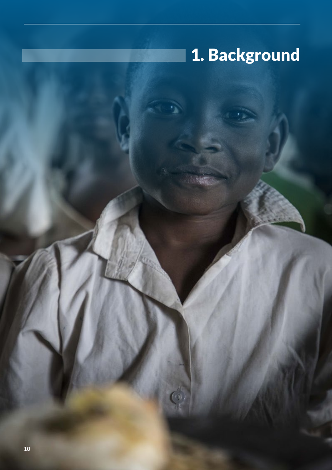# 1. Background

I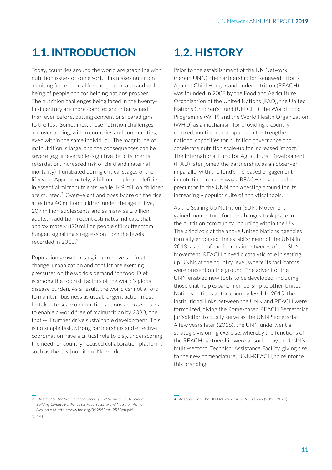# **1.1. INTRODUCTION**

Today, countries around the world are grappling with nutrition issues of some sort. This makes nutrition a uniting force, crucial for the good health and wellbeing of people and for helping nations prosper. The nutrition challenges being faced in the twentyfirst century are more complex and intertwined than ever before, putting conventional paradigms to the test. Sometimes, these nutrition challenges are overlapping, within countries and communities, even within the same individual. The magnitude of malnutrition is large, and the consequences can be severe (e.g. irreversible cognitive deficits, mental retardation, increased risk of child and maternal mortality) if unabated during critical stages of the lifecycle. Approximately, 2 billion people are deficient in essential micronutrients, while 149 million children are stunted.<sup>2</sup> Overweight and obesity are on the rise, affecting 40 million children under the age of five, 207 million adolescents and as many as 2 billion adults.In addition, recent estimates indicate that approximately 820 million people still suffer from hunger, signalling a regression from the levels recorded in 2010.<sup>3</sup>

Population growth, rising income levels, climate change, urbanization and conflict are exerting pressures on the world's demand for food. Diet is among the top risk factors of the world's global disease burden. As a result, the world cannot afford to maintain business as usual. Urgent action must be taken to scale up nutrition actions across sectors to enable a world free of malnutrition by 2030, one that will further drive sustainable development. This is no simple task. Strong partnerships and effective coordination have a critical role to play, underscoring the need for country-focused collaboration platforms such as the UN [nutrition] Network.

# **1.2. HISTORY**

Prior to the establishment of the UN Network (herein UNN), the partnership for Renewed Efforts Against Child Hunger and undernutrition (REACH) was founded in 2008 by the Food and Agriculture Organization of the United Nations (FAO), the United Nations Children's Fund (UNICEF), the World Food Programme (WFP) and the World Health Organization (WHO) as a mechanism for providing a countrycentred, multi-sectoral approach to strengthen national capacities for nutrition governance and accelerate nutrition scale-up for increased impact.<sup>4</sup> The International Fund for Agricultural Development (IFAD) later joined the partnership, as an observer, in parallel with the fund's increased engagement in nutrition. In many ways, REACH served as the precursor to the UNN and a testing ground for its increasingly popular suite of analytical tools.

As the Scaling Up Nutrition (SUN) Movement gained momentum, further changes took place in the nutrition community, including within the UN. The principals of the above United Nations agencies formally endorsed the establishment of the UNN in 2013, as one of the four main networks of the SUN Movement. REACH played a catalytic role in setting up UNNs at the country level, where its facilitators were present on the ground. The advent of the UNN enabled new tools to be developed, including those that help expand membership to other United Nations entities at the country level. In 2015, the institutional links between the UNN and REACH were formalized, giving the Rome-based REACH Secretariat jurisdiction to dually serve as the UNN Secretariat. A few years later (2018), the UNN underwent a strategic visioning exercise, whereby the functions of the REACH partnership were absorbed by the UNN's Multi-sectoral Technical Assistance Facility, giving rise to the new nomenclature, UNN-REACH, to reinforce this branding.

<sup>2.</sup> FAO. 2019. *The State of Food Security and Nutrition in the World: Building Climate Resilience for Food Security and Nutrition* Rome. Available at http://www.fao.org/3/i9553en/i9553en.pdf.

<sup>4.</sup> Adapted from the UN Network for SUN Strategy (2016–2020).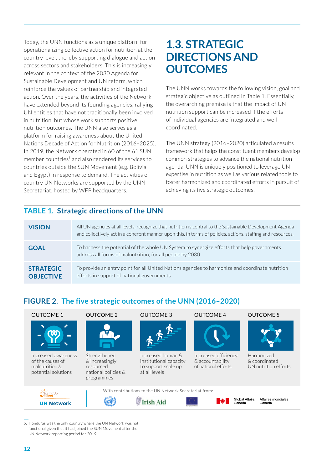Today, the UNN functions as a unique platform for operationalizing collective action for nutrition at the country level, thereby supporting dialogue and action across sectors and stakeholders. This is increasingly relevant in the context of the 2030 Agenda for Sustainable Development and UN reform, which reinforce the values of partnership and integrated action. Over the years, the activities of the Network have extended beyond its founding agencies, rallying UN entities that have not traditionally been involved in nutrition, but whose work supports positive nutrition outcomes. The UNN also serves as a platform for raising awareness about the United Nations Decade of Action for Nutrition (2016–2025). In 2019, the Network operated in 60 of the 61 SUN member countries<sup>5</sup> and also rendered its services to countries outside the SUN Movement (e.g. Bolivia and Egypt) in response to demand. The activities of country UN Networks are supported by the UNN Secretariat, hosted by WFP headquarters.

# **1.3. STRATEGIC DIRECTIONS AND OUTCOMES**

The UNN works towards the following vision, goal and strategic objective as outlined in Table 1. Essentially, the overarching premise is that the impact of UN nutrition support can be increased if the efforts of individual agencies are integrated and wellcoordinated.

The UNN strategy (2016–2020) articulated a results framework that helps the constituent members develop common strategies to advance the national nutrition agenda. UNN is uniquely positioned to leverage UN expertise in nutrition as well as various related tools to foster harmonized and coordinated efforts in pursuit of achieving its five strategic outcomes.

#### **TABLE 1. Strategic directions of the UNN**

| <b>VISION</b>                        | All UN agencies at all levels, recognize that nutrition is central to the Sustainable Development Agenda<br>and collectively act in a coherent manner upon this, in terms of policies, actions, staffing and resources. |
|--------------------------------------|-------------------------------------------------------------------------------------------------------------------------------------------------------------------------------------------------------------------------|
| <b>GOAL</b>                          | To harness the potential of the whole UN System to synergize efforts that help governments<br>address all forms of malnutrition, for all people by 2030.                                                                |
| <b>STRATEGIC</b><br><b>OBJECTIVE</b> | To provide an entry point for all United Nations agencies to harmonize and coordinate nutrition<br>efforts in support of national governments.                                                                          |

### **FIGURE 2. The five strategic outcomes of the UNN (2016–2020)**



Increased awareness of the causes of malnutrition & potential solutions

N<sup>17</sup>⁄<br>ScalingUp



Strengthened & increasingly resourced national policies & programmes



Increased human & institutional capacity to support scale up at all levels



Increased efficiency & accountability of national efforts





Harmonized & coordinated UN nutrition efforts









Affaires mondiales<br>Canada

5. Honduras was the only country where the UN Network was not functional given that it had joined the SUN Movement after the UN Network reporting period for 2019.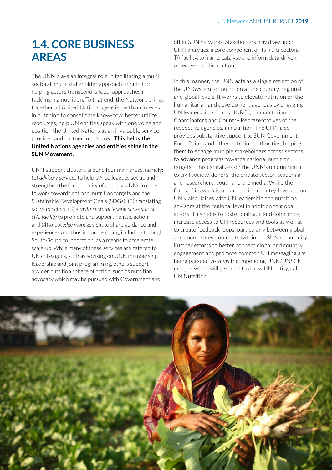# **1.4. CORE BUSINESS AREAS**

The UNN plays an integral role in facilitating a multisectoral, multi-stakeholder approach to nutrition, helping actors transcend 'siloed' approaches in tackling malnutrition. To that end, the Network brings together all United Nations agencies with an interest in nutrition to consolidate know-how, better utilize resources, help UN entities speak with one voice and position the United Nations as an invaluable service provider and partner in this area. **This helps the United Nations agencies and entities shine in the SUN Movement.**

UNN support clusters around four main areas, namely: (1) *advisory services* to help UN colleagues set up and strengthen the functionality of country UNNs in order to work towards national nutrition targets and the Sustainable Development Goals (SDGs); (2) translating *policy to action*; (3) a *multi-sectoral technical assistance (TA) facility* to promote and support holistic action; and (4) *knowledge management* to share guidance and experiences and thus impart learning, including through South-South collaboration, as a means to accelerate scale-up. While many of these services are catered to UN colleagues, such as advising on UNN membership, leadership and joint programming, others support a wider nutrition sphere of action, such as nutrition advocacy which may be pursued with Government and

other SUN networks. Stakeholders may draw upon UNN analytics, a core component of its multi-sectoral TA facility, to frame, catalyse and inform data-driven, collective nutrition action.

In this manner, the UNN acts as a single reflection of the UN System for nutrition at the country, regional and global levels. It works to elevate nutrition on the humanitarian and development agendas by engaging UN leadership, such as UNRCs, Humanitarian Coordinators and Country Representatives of the respective agencies, in nutrition. The UNN also provides substantive support to SUN Government Focal Points and other nutrition authorities, helping them to engage multiple stakeholders across sectors to advance progress towards national nutrition targets. This capitalizes on the UNN's unique reach to civil society, donors, the private sector, academia and researchers, youth and the media. While the focus of its work is on supporting country-level action, UNN also liaises with UN leadership and nutrition advisors at the regional level in addition to global actors. This helps to foster dialogue and coherence, increase access to UN resources and tools as well as to create feedback loops, particularly between global and country developments within the SUN community. Further efforts to better connect global and country engagement and promote common UN messaging are being pursued *vis-à-vis* the impending UNN/UNSCN merger, which will give rise to a new UN entity, called UN Nutrition.

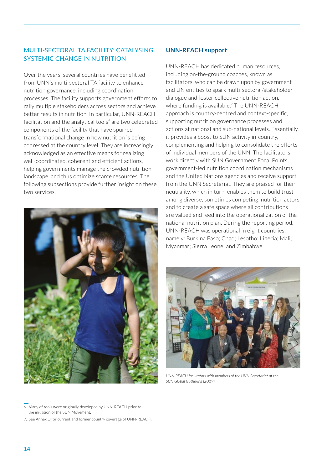#### MULTI-SECTORAL TA FACILITY: CATALYSING SYSTEMIC CHANGE IN NUTRITION

Over the years, several countries have benefitted from UNN's multi-sectoral TA facility to enhance nutrition governance, including coordination processes. The facility supports government efforts to rally multiple stakeholders across sectors and achieve better results in nutrition. In particular, UNN-REACH facilitation and the analytical tools<sup>6</sup> are two celebrated components of the facility that have spurred transformational change in how nutrition is being addressed at the country level. They are increasingly acknowledged as an effective means for realizing well-coordinated, coherent and efficient actions, helping governments manage the crowded nutrition landscape, and thus optimize scarce resources. The following subsections provide further insight on these two services.



#### **UNN-REACH support**

UNN-REACH has dedicated human resources, including on-the-ground coaches, known as facilitators, who can be drawn upon by government and UN entities to spark multi-sectoral/stakeholder dialogue and foster collective nutrition action, where funding is available.<sup>7</sup> The UNN-REACH approach is country-centred and context-specific, supporting nutrition governance processes and actions at national and sub-national levels. Essentially, it provides a boost to SUN activity in-country, complementing and helping to consolidate the efforts of individual members of the UNN. The facilitators work directly with SUN Government Focal Points, government-led nutrition coordination mechanisms and the United Nations agencies and receive support from the UNN Secretariat. They are praised for their neutrality, which in turn, enables them to build trust among diverse, sometimes competing, nutrition actors and to create a safe space where all contributions are valued and feed into the operationalization of the national nutrition plan. During the reporting period, UNN-REACH was operational in eight countries, namely: Burkina Faso; Chad; Lesotho; Liberia; Mali; Myanmar; Sierra Leone; and Zimbabwe.



*UNN-REACH facilitators with members of the UNN Secretariat at the SUN Global Gathering (2019).*

6. Many of tools were originally developed by UNN-REACH prior to the initiation of the SUN Movement.

7. See Annex D for current and former country coverage of UNN-REACH.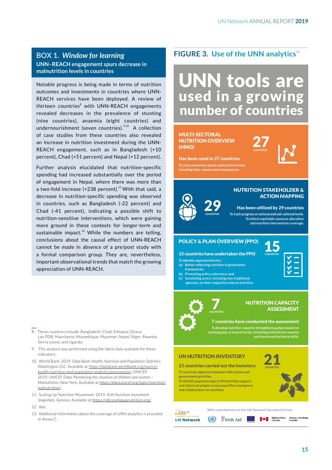### **UNN–REACH engagement spurs decrease in malnutrition levels in countries**

Notable progress is being made in terms of nutrition outcomes and investments in countries where UNN-REACH services have been deployed. A review of thirteen countries<sup>8</sup> with UNN-REACH engagements revealed decreases in the prevalence of stunting (nine countries), anaemia (eight countries) and undernourishment (seven countries).<sup>9,10</sup> A collection of case studies from these countries also revealed an increase in nutrition investment during the UNN-REACH engagement, such as in Bangladesh (+10 percent), Chad (+51 percent) and Nepal (+12 percent).

Further analysis elucidated that nutrition-specific spending had increased substantially over the period of engagement in Nepal, where there was more than a two-fold increase  $(+238$  percent).<sup>11</sup> With that said, a decrease in nutrition-specific spending was observed in countries, such as Bangladesh (-22 percent) and Chad (-41 percent), indicating a possible shift to nutrition-sensitive interventions, which were gaining more ground in these contexts for longer-term and sustainable impact.<sup>12</sup> While the numbers are telling, conclusions about the causal effect of UNN-REACH cannot be made in absence of a pre/post study with a formal comparison group. They are, nevertheless, important observational trends that match the growing appreciation of UNN-REACH.

- 8. These countries include: Bangladesh; Chad; Ethiopia; Ghana; Lao PDR; Mauritania; Mozambique; Myanmar; Nepal; Niger; Rwanda; Sierra Leone; and Uganda.
- 9. This analysis was performed using the latest data available for these indicators.
- 10. World Bank. 2019. *Data Bank: Health, Nutrition and Population Statistics.*  Washington D.C. Available at https://databank.worldbank.org/source/ health-nutrition-and-population-statistics/preview/on; UNICEF. 2019. *UNICEF Data: Monitoring the situation of children and women – Malnutrition*. New York. Available at https://data.unicef.org/topic/nutrition/ malnutrition/.
- 11. Scaling Up Nutrition Movement. 2019. *SUN Nutrition Investment Snapshots.* Geneva. Available at https://idb.scalingupnutrition.org/.
- 12. *Ibid*.
- 13. Additional information about the coverage of UNN analytics is provided in Annex C.

### **FIGURE 3. Use of the UNN analytics**<sup>13</sup> **BOX 1.** *Window for learning*

# UNN tools are used in a growing number of countries

#### MULTI-SECTORAL NUTRITION OVERVIEW (MNO)

Has been used in 27 countries **To raise awareness about malnutrition levels, including their causes and consequences.** 27**countries**



#### NUTRITION STAKEHOLDER & ACTION MAPPING

Has been utilized by 29 countries

**To track progress at national and sub-national levels. To inform equitable resource allocation and nutrition intervention coverage.**

#### POLICY & PLAN OVERVIEW (PPO)

#### 15 countries have undertaken the PPO

- **To identify opportunities for:**
- **(a) Better reflecting nutrition in governance frameworks;**
- **(b) Promoting policy coherence; and**
- **(c) Sensitizing actors, including non-traditional agencies, on their respective roles in nutrition.**

**countries** 7



#### NUTRITION CAPACITY ASSESSMENT

7 countries have conducted the assessment **To develop nutrition capacity strengthening plans based on existing gaps at several levels, including institutional capacity and functional/technical skills.**

#### UN NUTRITION INVENTORY

21 countries carried out the Inventory

**To ascertain alignment between UN actions and government priorities. To identify gaps/overlaps in UN nutrition support and inform strategies to increase UN convergence** 

**and collaboration on nutrition.**





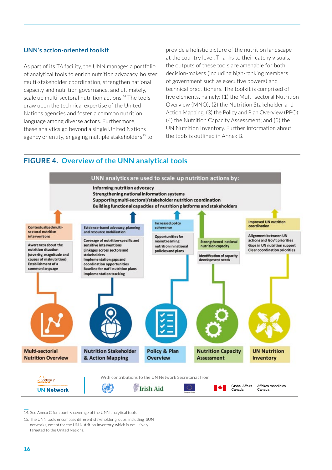#### **UNN's action-oriented toolkit**

As part of its TA facility, the UNN manages a portfolio of analytical tools to enrich nutrition advocacy, bolster multi-stakeholder coordination, strengthen national capacity and nutrition governance, and ultimately, scale up multi-sectoral nutrition actions.<sup>14</sup> The tools draw upon the technical expertise of the United Nations agencies and foster a common nutrition language among diverse actors. Furthermore, these analytics go beyond a single United Nations agency or entity, engaging multiple stakeholders<sup>15</sup> to

provide a holistic picture of the nutrition landscape at the country level. Thanks to their catchy visuals, the outputs of these tools are amenable for both decision-makers (including high-ranking members of government such as executive powers) and technical practitioners. The toolkit is comprised of five elements, namely: (1) the Multi-sectoral Nutrition Overview (MNO); (2) the Nutrition Stakeholder and Action Mapping; (3) the Policy and Plan Overview (PPO); (4) the Nutrition Capacity Assessment; and (5) the UN Nutrition Inventory. Further information about the tools is outlined in Annex B.

#### **FIGURE 4. Overview of the UNN analytical tools**



<sup>14.</sup> See Annex C for country coverage of the UNN analytical tools.

<sup>15.</sup> The UNN tools encompass different stakeholder groups, including SUN networks, except for the UN Nutrition Inventory, which is exclusively targeted to the United Nations.